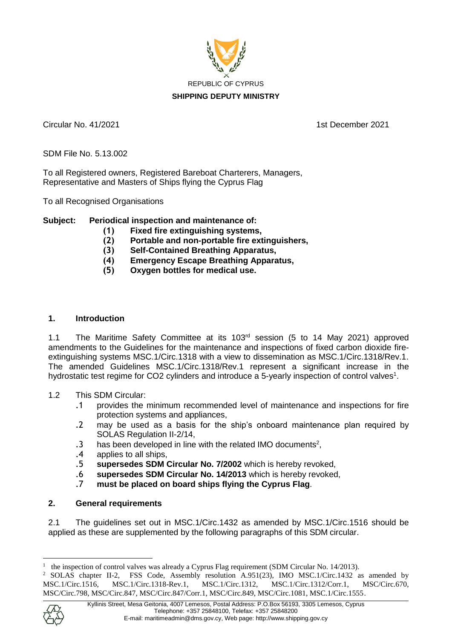

Circular No. 41/2021 1st December 2021

SDM File No. 5.13.002

To all Registered owners, Registered Bareboat Charterers, Managers, Representative and Masters of Ships flying the Cyprus Flag

To all Recognised Organisations

# **Subject: Periodical inspection and maintenance of:**

- **(1) Fixed fire extinguishing systems,**
- **(2) Portable and non-portable fire extinguishers,**
- **(3) Self-Contained Breathing Apparatus,**
- **(4) Emergency Escape Breathing Apparatus,**
- **(5) Oxygen bottles for medical use.**

### **1. Introduction**

1.1 The Maritime Safety Committee at its 103rd session (5 to 14 May 2021) approved amendments to the Guidelines for the maintenance and inspections of fixed carbon dioxide fireextinguishing systems MSC.1/Circ.1318 with a view to dissemination as MSC.1/Circ.1318/Rev.1. The amended Guidelines MSC.1/Circ.1318/Rev.1 represent a significant increase in the hydrostatic test regime for CO2 cylinders and introduce a 5-yearly inspection of control valves<sup>1</sup>.

#### 1.2 This SDM Circular:

- .1 provides the minimum recommended level of maintenance and inspections for fire protection systems and appliances,
- .2 may be used as a basis for the ship's onboard maintenance plan required by SOLAS Regulation II-2/14,
- .3 has been developed in line with the related IMO documents<sup>2</sup>,
- .4 applies to all ships,
- .5 **supersedes SDM Circular No. 7/2002** which is hereby revoked,
- .6 **supersedes SDM Circular No. 14/2013** which is hereby revoked,
- .7 **must be placed on board ships flying the Cyprus Flag**.

### **2. General requirements**

2.1 The guidelines set out in MSC.1/Circ.1432 as amended by MSC.1/Circ.1516 should be applied as these are supplemented by the following paragraphs of this SDM circular.

<sup>&</sup>lt;sup>2</sup> SOLAS chapter II-2, FSS Code, Assembly resolution A.951(23), IMO MSC.1/Circ.1432 as amended by MSC.1/Circ.1516, MSC.1/Circ.1318-Rev.1, MSC.1/Circ.1312, MSC.1/Circ.1312/Corr.1, MSC/Circ.670, MSC/Circ.798, MSC/Circ.847, MSC/Circ.847/Corr.1, MSC/Circ.849, MSC/Circ.1081, MSC.1/Circ.1555.



1

<sup>1</sup> the inspection of control valves was already a Cyprus Flag requirement (SDM Circular No. 14/2013).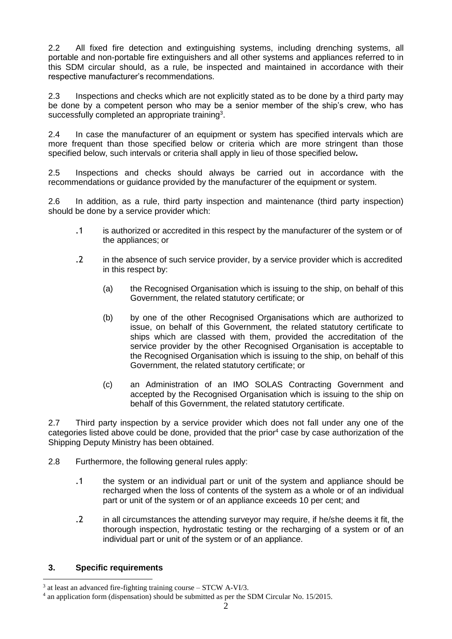2.2 All fixed fire detection and extinguishing systems, including drenching systems, all portable and non-portable fire extinguishers and all other systems and appliances referred to in this SDM circular should, as a rule, be inspected and maintained in accordance with their respective manufacturer's recommendations.

2.3 Inspections and checks which are not explicitly stated as to be done by a third party may be done by a competent person who may be a senior member of the ship's crew, who has successfully completed an appropriate training<sup>3</sup>.

2.4 In case the manufacturer of an equipment or system has specified intervals which are more frequent than those specified below or criteria which are more stringent than those specified below, such intervals or criteria shall apply in lieu of those specified below**.**

2.5 Inspections and checks should always be carried out in accordance with the recommendations or guidance provided by the manufacturer of the equipment or system.

2.6 In addition, as a rule, third party inspection and maintenance (third party inspection) should be done by a service provider which:

- .1 is authorized or accredited in this respect by the manufacturer of the system or of the appliances; or
- .2 in the absence of such service provider, by a service provider which is accredited in this respect by:
	- (a) the Recognised Organisation which is issuing to the ship, on behalf of this Government, the related statutory certificate; or
	- (b) by one of the other Recognised Organisations which are authorized to issue, on behalf of this Government, the related statutory certificate to ships which are classed with them, provided the accreditation of the service provider by the other Recognised Organisation is acceptable to the Recognised Organisation which is issuing to the ship, on behalf of this Government, the related statutory certificate; or
	- (c) an Administration of an IMO SOLAS Contracting Government and accepted by the Recognised Organisation which is issuing to the ship on behalf of this Government, the related statutory certificate.

2.7 Third party inspection by a service provider which does not fall under any one of the categories listed above could be done, provided that the prior<sup>4</sup> case by case authorization of the Shipping Deputy Ministry has been obtained.

- 2.8 Furthermore, the following general rules apply:
	- .1 the system or an individual part or unit of the system and appliance should be recharged when the loss of contents of the system as a whole or of an individual part or unit of the system or of an appliance exceeds 10 per cent; and
	- .2 in all circumstances the attending surveyor may require, if he/she deems it fit, the thorough inspection, hydrostatic testing or the recharging of a system or of an individual part or unit of the system or of an appliance.

#### **3. Specific requirements**

<sup>1</sup>  $3$  at least an advanced fire-fighting training course – STCW A-VI/3.

<sup>4</sup> an application form (dispensation) should be submitted as per the SDM Circular No. 15/2015.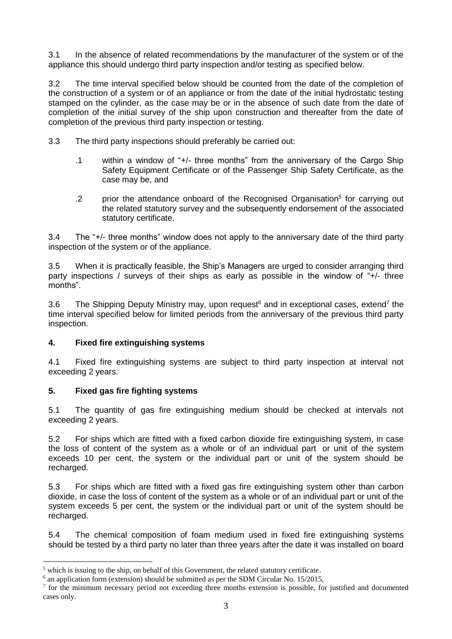3.1 In the absence of related recommendations by the manufacturer of the system or of the appliance this should undergo third party inspection and/or testing as specified below.

3.2 The time interval specified below should be counted from the date of the completion of the construction of a system or of an appliance or from the date of the initial hydrostatic testing stamped on the cylinder, as the case may be or in the absence of such date from the date of completion of the initial survey of the ship upon construction and thereafter from the date of completion of the previous third party inspection or testing.

- 3.3 The third party inspections should preferably be carried out:
	- .1 within a window of "+/- three months" from the anniversary of the Cargo Ship Safety Equipment Certificate or of the Passenger Ship Safety Certificate, as the case may be, and
	- .2 prior the attendance onboard of the Recognised Organisation<sup>5</sup> for carrying out the related statutory survey and the subsequently endorsement of the associated statutory certificate.

3.4 The "+/- three months" window does not apply to the anniversary date of the third party inspection of the system or of the appliance.

3.5 When it is practically feasible, the Ship's Managers are urged to consider arranging third party inspections / surveys of their ships as early as possible in the window of "+/- three months".

3.6 The Shipping Deputy Ministry may, upon request<sup>6</sup> and in exceptional cases, extend<sup>7</sup> the time interval specified below for limited periods from the anniversary of the previous third party inspection.

# **4. Fixed fire extinguishing systems**

4.1 Fixed fire extinguishing systems are subject to third party inspection at interval not exceeding 2 years.

#### **5. Fixed gas fire fighting systems**

1

5.1 The quantity of gas fire extinguishing medium should be checked at intervals not exceeding 2 years.

5.2 For ships which are fitted with a fixed carbon dioxide fire extinguishing system, in case the loss of content of the system as a whole or of an individual part or unit of the system exceeds 10 per cent, the system or the individual part or unit of the system should be recharged.

5.3 For ships which are fitted with a fixed gas fire extinguishing system other than carbon dioxide, in case the loss of content of the system as a whole or of an individual part or unit of the system exceeds 5 per cent, the system or the individual part or unit of the system should be recharged.

5.4 The chemical composition of foam medium used in fixed fire extinguishing systems should be tested by a third party no later than three years after the date it was installed on board

<sup>&</sup>lt;sup>5</sup> which is issuing to the ship, on behalf of this Government, the related statutory certificate.

<sup>&</sup>lt;sup>6</sup> an application form (extension) should be submitted as per the SDM Circular No. 15/2015,

 $<sup>7</sup>$  for the minimum necessary period not exceeding three months extension is possible, for justified and documented</sup> cases only.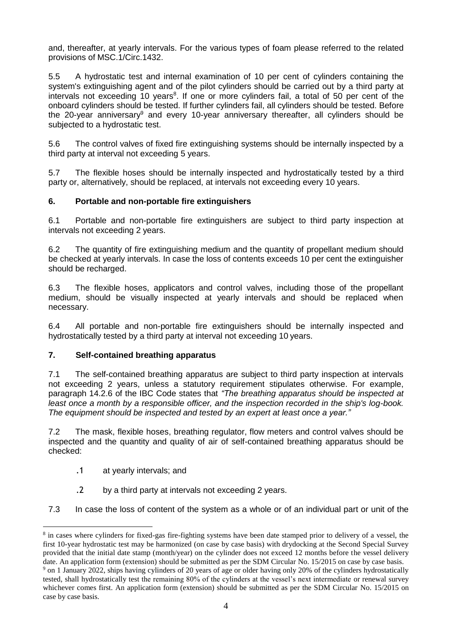and, thereafter, at yearly intervals. For the various types of foam please referred to the related provisions of MSC.1/Circ.1432.

5.5 A hydrostatic test and internal examination of 10 per cent of cylinders containing the system's extinguishing agent and of the pilot cylinders should be carried out by a third party at intervals not exceeding 10 years<sup>8</sup>. If one or more cylinders fail, a total of 50 per cent of the onboard cylinders should be tested. If further cylinders fail, all cylinders should be tested. Before the 20-year anniversary<sup>9</sup> and every 10-year anniversary thereafter, all cylinders should be subjected to a hydrostatic test.

5.6 The control valves of fixed fire extinguishing systems should be internally inspected by a third party at interval not exceeding 5 years.

5.7 The flexible hoses should be internally inspected and hydrostatically tested by a third party or, alternatively, should be replaced, at intervals not exceeding every 10 years.

### **6. Portable and non-portable fire extinguishers**

6.1 Portable and non-portable fire extinguishers are subject to third party inspection at intervals not exceeding 2 years.

6.2 The quantity of fire extinguishing medium and the quantity of propellant medium should be checked at yearly intervals. In case the loss of contents exceeds 10 per cent the extinguisher should be recharged.

6.3 The flexible hoses, applicators and control valves, including those of the propellant medium, should be visually inspected at yearly intervals and should be replaced when necessary.

6.4 All portable and non-portable fire extinguishers should be internally inspected and hydrostatically tested by a third party at interval not exceeding 10 years.

#### **7. Self-contained breathing apparatus**

7.1 The self-contained breathing apparatus are subject to third party inspection at intervals not exceeding 2 years, unless a statutory requirement stipulates otherwise. For example, paragraph 14.2.6 of the IBC Code states that *"The breathing apparatus should be inspected at least once a month by a responsible officer, and the inspection recorded in the ship's log-book. The equipment should be inspected and tested by an expert at least once a year."*

7.2 The mask, flexible hoses, breathing regulator, flow meters and control valves should be inspected and the quantity and quality of air of self-contained breathing apparatus should be checked:

.1 at yearly intervals; and

1

- .2 by a third party at intervals not exceeding 2 years.
- 7.3 In case the loss of content of the system as a whole or of an individual part or unit of the

<sup>&</sup>lt;sup>8</sup> in cases where cylinders for fixed-gas fire-fighting systems have been date stamped prior to delivery of a vessel, the first 10-year hydrostatic test may be harmonized (on case by case basis) with drydocking at the Second Special Survey provided that the initial date stamp (month/year) on the cylinder does not exceed 12 months before the vessel delivery date. An application form (extension) should be submitted as per the SDM Circular No. 15/2015 on case by case basis.

<sup>9</sup> on 1 January 2022, ships having cylinders of 20 years of age or older having only 20% of the cylinders hydrostatically tested, shall hydrostatically test the remaining 80% of the cylinders at the vessel's next intermediate or renewal survey whichever comes first. An application form (extension) should be submitted as per the SDM Circular No. 15/2015 on case by case basis.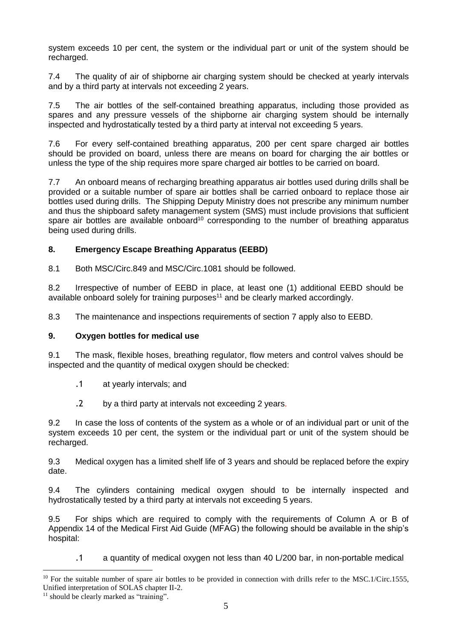system exceeds 10 per cent, the system or the individual part or unit of the system should be recharged.

7.4 The quality of air of shipborne air charging system should be checked at yearly intervals and by a third party at intervals not exceeding 2 years.

7.5 The air bottles of the self-contained breathing apparatus, including those provided as spares and any pressure vessels of the shipborne air charging system should be internally inspected and hydrostatically tested by a third party at interval not exceeding 5 years.

7.6 For every self-contained breathing apparatus, 200 per cent spare charged air bottles should be provided on board, unless there are means on board for charging the air bottles or unless the type of the ship requires more spare charged air bottles to be carried on board.

7.7 An onboard means of recharging breathing apparatus air bottles used during drills shall be provided or a suitable number of spare air bottles shall be carried onboard to replace those air bottles used during drills. The Shipping Deputy Ministry does not prescribe any minimum number and thus the shipboard safety management system (SMS) must include provisions that sufficient spare air bottles are available onboard<sup>10</sup> corresponding to the number of breathing apparatus being used during drills.

# **8. Emergency Escape Breathing Apparatus (EEBD)**

8.1 Both MSC/Circ.849 and MSC/Circ.1081 should be followed.

8.2 Irrespective of number of EEBD in place, at least one (1) additional EEBD should be available onboard solely for training purposes $11$  and be clearly marked accordingly.

8.3 The maintenance and inspections requirements of section 7 apply also to EEBD.

#### **9. Oxygen bottles for medical use**

9.1 The mask, flexible hoses, breathing regulator, flow meters and control valves should be inspected and the quantity of medical oxygen should be checked:

- .1 at yearly intervals; and
- .2 by a third party at intervals not exceeding 2 years.

9.2 In case the loss of contents of the system as a whole or of an individual part or unit of the system exceeds 10 per cent, the system or the individual part or unit of the system should be recharged.

9.3 Medical oxygen has a limited shelf life of 3 years and should be replaced before the expiry date.

9.4 The cylinders containing medical oxygen should to be internally inspected and hydrostatically tested by a third party at intervals not exceeding 5 years.

9.5 For ships which are required to comply with the requirements of Column A or B of Appendix 14 of the Medical First Aid Guide (MFAG) the following should be available in the ship's hospital:

.1 a quantity of medical oxygen not less than 40 L/200 bar, in non-portable medical

<u>.</u>

 $10$  For the suitable number of spare air bottles to be provided in connection with drills refer to the MSC.1/Circ.1555, Unified interpretation of SOLAS chapter II-2.

<sup>&</sup>lt;sup>11</sup> should be clearly marked as "training".